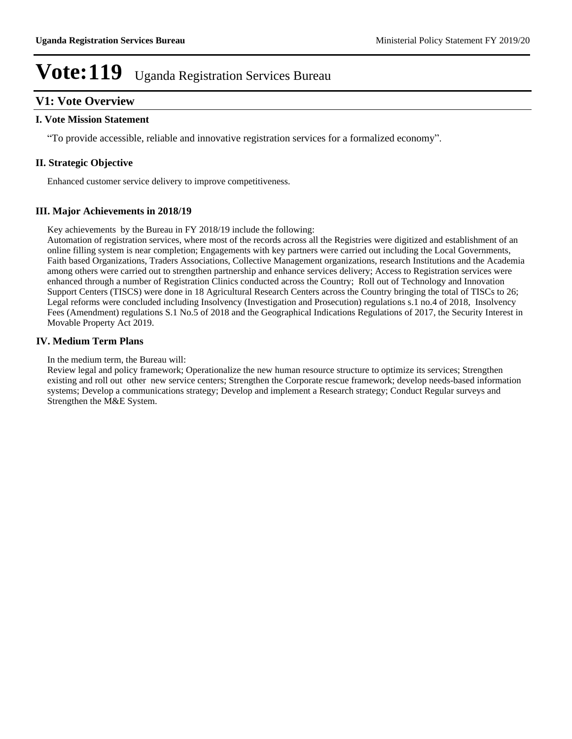#### **V1: Vote Overview**

#### **I. Vote Mission Statement**

"To provide accessible, reliable and innovative registration services for a formalized economy".

#### **II. Strategic Objective**

Enhanced customer service delivery to improve competitiveness.

#### **III. Major Achievements in 2018/19**

Key achievements by the Bureau in FY 2018/19 include the following:

Automation of registration services, where most of the records across all the Registries were digitized and establishment of an online filling system is near completion; Engagements with key partners were carried out including the Local Governments, Faith based Organizations, Traders Associations, Collective Management organizations, research Institutions and the Academia among others were carried out to strengthen partnership and enhance services delivery; Access to Registration services were enhanced through a number of Registration Clinics conducted across the Country; Roll out of Technology and Innovation Support Centers (TISCS) were done in 18 Agricultural Research Centers across the Country bringing the total of TISCs to 26; Legal reforms were concluded including Insolvency (Investigation and Prosecution) regulations s.1 no.4 of 2018, Insolvency Fees (Amendment) regulations S.1 No.5 of 2018 and the Geographical Indications Regulations of 2017, the Security Interest in Movable Property Act 2019.

#### **IV. Medium Term Plans**

In the medium term, the Bureau will:

Review legal and policy framework; Operationalize the new human resource structure to optimize its services; Strengthen existing and roll out other new service centers; Strengthen the Corporate rescue framework; develop needs-based information systems; Develop a communications strategy; Develop and implement a Research strategy; Conduct Regular surveys and Strengthen the M&E System.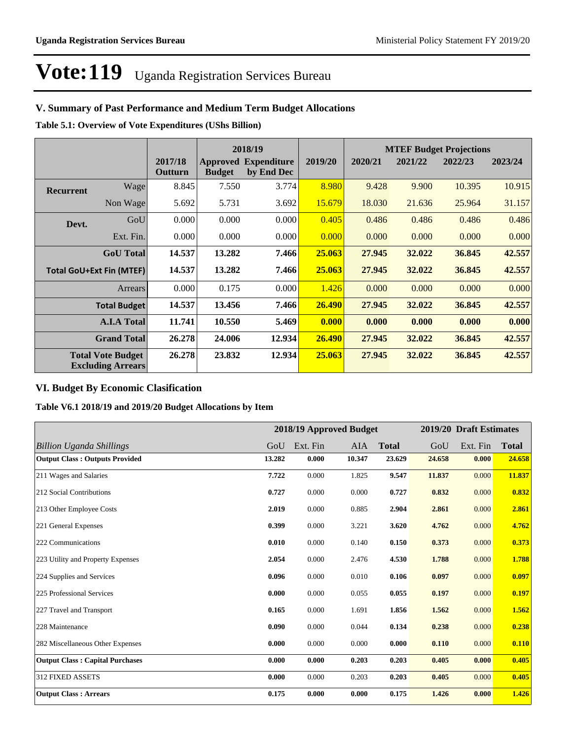#### **V. Summary of Past Performance and Medium Term Budget Allocations**

**Table 5.1: Overview of Vote Expenditures (UShs Billion)**

|                                 |                                                      |                    |               | 2018/19                                   |         |         | <b>MTEF Budget Projections</b> |         |         |
|---------------------------------|------------------------------------------------------|--------------------|---------------|-------------------------------------------|---------|---------|--------------------------------|---------|---------|
|                                 |                                                      | 2017/18<br>Outturn | <b>Budget</b> | <b>Approved Expenditure</b><br>by End Dec | 2019/20 | 2020/21 | 2021/22                        | 2022/23 | 2023/24 |
| <b>Recurrent</b>                | Wage                                                 | 8.845              | 7.550         | 3.774                                     | 8.980   | 9.428   | 9.900                          | 10.395  | 10.915  |
|                                 | Non Wage                                             | 5.692              | 5.731         | 3.692                                     | 15.679  | 18.030  | 21.636                         | 25.964  | 31.157  |
| Devt.                           | GoU                                                  | 0.000              | 0.000         | 0.000                                     | 0.405   | 0.486   | 0.486                          | 0.486   | 0.486   |
|                                 | Ext. Fin.                                            | 0.000              | 0.000         | 0.000                                     | 0.000   | 0.000   | 0.000                          | 0.000   | 0.000   |
|                                 | <b>GoU</b> Total                                     | 14.537             | 13.282        | 7.466                                     | 25,063  | 27.945  | 32.022                         | 36.845  | 42.557  |
| <b>Total GoU+Ext Fin (MTEF)</b> |                                                      | 14.537             | 13.282        | 7.466                                     | 25,063  | 27,945  | 32.022                         | 36.845  | 42.557  |
|                                 | Arrears                                              | 0.000              | 0.175         | 0.000                                     | 1.426   | 0.000   | 0.000                          | 0.000   | 0.000   |
|                                 | <b>Total Budget</b>                                  | 14.537             | 13.456        | 7.466                                     | 26.490  | 27,945  | 32.022                         | 36.845  | 42.557  |
|                                 | <b>A.I.A Total</b>                                   | 11.741             | 10.550        | 5.469                                     | 0.000   | 0.000   | 0.000                          | 0.000   | 0.000   |
|                                 | <b>Grand Total</b>                                   | 26.278             | 24.006        | 12.934                                    | 26.490  | 27,945  | 32.022                         | 36.845  | 42.557  |
|                                 | <b>Total Vote Budget</b><br><b>Excluding Arrears</b> | 26.278             | 23.832        | 12.934                                    | 25,063  | 27,945  | 32.022                         | 36.845  | 42.557  |

#### **VI. Budget By Economic Clasification**

**Table V6.1 2018/19 and 2019/20 Budget Allocations by Item**

|                                        | 2018/19 Approved Budget |          |            | 2019/20 Draft Estimates |        |          |              |
|----------------------------------------|-------------------------|----------|------------|-------------------------|--------|----------|--------------|
| <b>Billion Uganda Shillings</b>        | GoU                     | Ext. Fin | <b>AIA</b> | <b>Total</b>            | GoU    | Ext. Fin | <b>Total</b> |
| <b>Output Class: Outputs Provided</b>  | 13.282                  | 0.000    | 10.347     | 23.629                  | 24.658 | 0.000    | 24.658       |
| 211 Wages and Salaries                 | 7.722                   | 0.000    | 1.825      | 9.547                   | 11.837 | 0.000    | 11.837       |
| 212 Social Contributions               | 0.727                   | 0.000    | 0.000      | 0.727                   | 0.832  | 0.000    | 0.832        |
| 213 Other Employee Costs               | 2.019                   | 0.000    | 0.885      | 2.904                   | 2.861  | 0.000    | 2.861        |
| 221 General Expenses                   | 0.399                   | 0.000    | 3.221      | 3.620                   | 4.762  | 0.000    | 4.762        |
| 222 Communications                     | 0.010                   | 0.000    | 0.140      | 0.150                   | 0.373  | 0.000    | 0.373        |
| 223 Utility and Property Expenses      | 2.054                   | 0.000    | 2.476      | 4.530                   | 1.788  | 0.000    | 1.788        |
| 224 Supplies and Services              | 0.096                   | 0.000    | 0.010      | 0.106                   | 0.097  | 0.000    | 0.097        |
| 225 Professional Services              | 0.000                   | 0.000    | 0.055      | 0.055                   | 0.197  | 0.000    | 0.197        |
| 227 Travel and Transport               | 0.165                   | 0.000    | 1.691      | 1.856                   | 1.562  | 0.000    | 1.562        |
| 228 Maintenance                        | 0.090                   | 0.000    | 0.044      | 0.134                   | 0.238  | 0.000    | 0.238        |
| 282 Miscellaneous Other Expenses       | 0.000                   | 0.000    | 0.000      | 0.000                   | 0.110  | 0.000    | 0.110        |
| <b>Output Class: Capital Purchases</b> | 0.000                   | 0.000    | 0.203      | 0.203                   | 0.405  | 0.000    | 0.405        |
| <b>312 FIXED ASSETS</b>                | 0.000                   | 0.000    | 0.203      | 0.203                   | 0.405  | 0.000    | 0.405        |
| <b>Output Class: Arrears</b>           | 0.175                   | 0.000    | 0.000      | 0.175                   | 1.426  | 0.000    | 1.426        |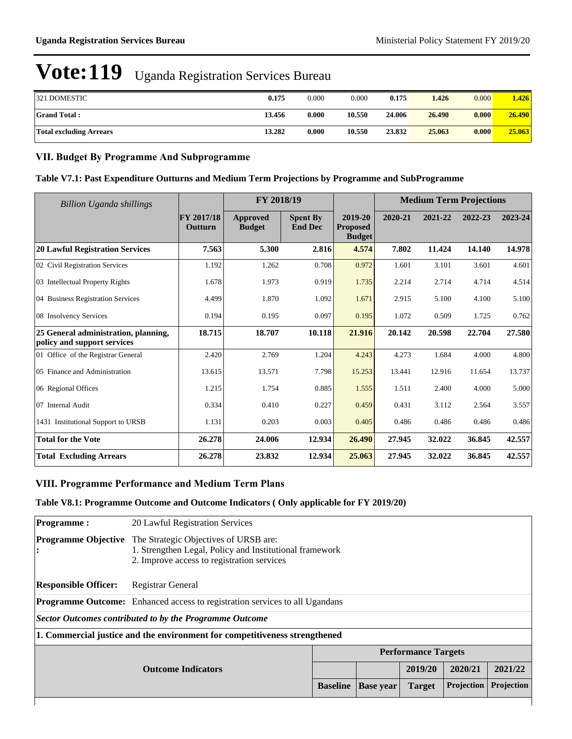| 321 DOMESTIC            | 0.175  | 0.000 | 0.000  | 0.175  | 1.426  | 0.000 | .426   |
|-------------------------|--------|-------|--------|--------|--------|-------|--------|
| <b>Grand Total:</b>     | 13.456 | 0.000 | 10.550 | 24.006 | 26.490 | 0.000 | 26.490 |
| Total excluding Arrears | 13.282 | 0.000 | 10.550 | 23.832 | 25.063 | 0.000 | 25.063 |

#### **VII. Budget By Programme And Subprogramme**

#### **Table V7.1: Past Expenditure Outturns and Medium Term Projections by Programme and SubProgramme**

| Billion Uganda shillings                                            |                       | FY 2018/19                       |                                   | <b>Medium Term Projections</b>              |         |         |         |         |
|---------------------------------------------------------------------|-----------------------|----------------------------------|-----------------------------------|---------------------------------------------|---------|---------|---------|---------|
|                                                                     | FY 2017/18<br>Outturn | <b>Approved</b><br><b>Budget</b> | <b>Spent By</b><br><b>End Dec</b> | 2019-20<br><b>Proposed</b><br><b>Budget</b> | 2020-21 | 2021-22 | 2022-23 | 2023-24 |
| <b>20 Lawful Registration Services</b>                              | 7.563                 | 5.300                            | 2.816                             | 4.574                                       | 7.802   | 11.424  | 14.140  | 14.978  |
| 02 Civil Registration Services                                      | 1.192                 | 1.262                            | 0.708                             | 0.972                                       | 1.601   | 3.101   | 3.601   | 4.601   |
| 03 Intellectual Property Rights                                     | 1.678                 | 1.973                            | 0.919                             | 1.735                                       | 2.214   | 2.714   | 4.714   | 4.514   |
| 04 Business Registration Services                                   | 4.499                 | 1.870                            | 1.092                             | 1.671                                       | 2.915   | 5.100   | 4.100   | 5.100   |
| 08 Insolvency Services                                              | 0.194                 | 0.195                            | 0.097                             | 0.195                                       | 1.072   | 0.509   | 1.725   | 0.762   |
| 25 General administration, planning,<br>policy and support services | 18.715                | 18.707                           | 10.118                            | 21.916                                      | 20.142  | 20.598  | 22.704  | 27.580  |
| 01 Office of the Registrar General                                  | 2.420                 | 2.769                            | 1.204                             | 4.243                                       | 4.273   | 1.684   | 4.000   | 4.800   |
| 05 Finance and Administration                                       | 13.615                | 13.571                           | 7.798                             | 15.253                                      | 13.441  | 12.916  | 11.654  | 13.737  |
| 06 Regional Offices                                                 | 1.215                 | 1.754                            | 0.885                             | 1.555                                       | 1.511   | 2.400   | 4.000   | 5.000   |
| 07 Internal Audit                                                   | 0.334                 | 0.410                            | 0.227                             | 0.459                                       | 0.431   | 3.112   | 2.564   | 3.557   |
| 1431 Institutional Support to URSB                                  | 1.131                 | 0.203                            | 0.003                             | 0.405                                       | 0.486   | 0.486   | 0.486   | 0.486   |
| <b>Total for the Vote</b>                                           | 26.278                | 24.006                           | 12.934                            | 26.490                                      | 27.945  | 32.022  | 36.845  | 42.557  |
| <b>Total Excluding Arrears</b>                                      | 26.278                | 23.832                           | 12.934                            | 25.063                                      | 27.945  | 32.022  | 36.845  | 42.557  |

#### **VIII. Programme Performance and Medium Term Plans**

#### **Table V8.1: Programme Outcome and Outcome Indicators ( Only applicable for FY 2019/20)**

| <b>Programme:</b>               | 20 Lawful Registration Services                                                                                                                |                  |               |                            |            |         |  |  |
|---------------------------------|------------------------------------------------------------------------------------------------------------------------------------------------|------------------|---------------|----------------------------|------------|---------|--|--|
| <b>Programme Objective</b><br>: | The Strategic Objectives of URSB are:<br>1. Strengthen Legal, Policy and Institutional framework<br>2. Improve access to registration services |                  |               |                            |            |         |  |  |
| <b>Responsible Officer:</b>     | Registrar General                                                                                                                              |                  |               |                            |            |         |  |  |
|                                 | <b>Programme Outcome:</b> Enhanced access to registration services to all Ugandans                                                             |                  |               |                            |            |         |  |  |
|                                 | Sector Outcomes contributed to by the Programme Outcome                                                                                        |                  |               |                            |            |         |  |  |
|                                 | 1. Commercial justice and the environment for competitiveness strengthened                                                                     |                  |               |                            |            |         |  |  |
|                                 |                                                                                                                                                |                  |               | <b>Performance Targets</b> |            |         |  |  |
| <b>Outcome Indicators</b>       |                                                                                                                                                |                  |               | 2019/20                    | 2020/21    | 2021/22 |  |  |
|                                 | <b>Baseline</b>                                                                                                                                | <b>Base</b> year | <b>Target</b> | Projection                 | Projection |         |  |  |
|                                 |                                                                                                                                                |                  |               |                            |            |         |  |  |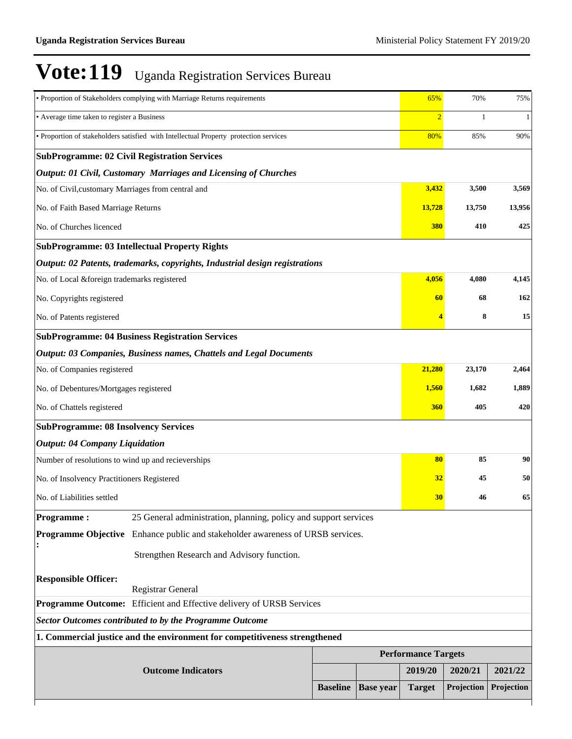| • Proportion of Stakeholders complying with Marriage Returns requirements                | 65%             | 70%              | 75%                        |            |            |  |  |  |
|------------------------------------------------------------------------------------------|-----------------|------------------|----------------------------|------------|------------|--|--|--|
| • Average time taken to register a Business                                              | $\overline{2}$  | 1                | $\mathbf{1}$               |            |            |  |  |  |
| · Proportion of stakeholders satisfied with Intellectual Property protection services    | 80%             | 85%              | 90%                        |            |            |  |  |  |
| <b>SubProgramme: 02 Civil Registration Services</b>                                      |                 |                  |                            |            |            |  |  |  |
| Output: 01 Civil, Customary Marriages and Licensing of Churches                          |                 |                  |                            |            |            |  |  |  |
| No. of Civil, customary Marriages from central and                                       |                 |                  | 3,432                      | 3,500      | 3,569      |  |  |  |
| No. of Faith Based Marriage Returns                                                      |                 |                  | 13,728                     | 13,750     | 13,956     |  |  |  |
| No. of Churches licenced                                                                 |                 |                  | 380                        | 410        | 425        |  |  |  |
| <b>SubProgramme: 03 Intellectual Property Rights</b>                                     |                 |                  |                            |            |            |  |  |  |
| Output: 02 Patents, trademarks, copyrights, Industrial design registrations              |                 |                  |                            |            |            |  |  |  |
| No. of Local &foreign trademarks registered                                              |                 |                  | 4,056                      | 4,080      | 4,145      |  |  |  |
| No. Copyrights registered                                                                |                 |                  | 60                         | 68         | 162        |  |  |  |
| No. of Patents registered                                                                |                 |                  |                            | 8          | 15         |  |  |  |
| <b>SubProgramme: 04 Business Registration Services</b>                                   |                 |                  |                            |            |            |  |  |  |
| Output: 03 Companies, Business names, Chattels and Legal Documents                       |                 |                  |                            |            |            |  |  |  |
| No. of Companies registered                                                              |                 |                  | 21,280                     | 23,170     | 2,464      |  |  |  |
| No. of Debentures/Mortgages registered                                                   |                 |                  | 1,560                      | 1,682      | 1,889      |  |  |  |
| No. of Chattels registered                                                               | 360             | 405              | 420                        |            |            |  |  |  |
| <b>SubProgramme: 08 Insolvency Services</b>                                              |                 |                  |                            |            |            |  |  |  |
| <b>Output: 04 Company Liquidation</b>                                                    |                 |                  |                            |            |            |  |  |  |
| Number of resolutions to wind up and recieverships                                       |                 |                  | 80                         | 85         | 90         |  |  |  |
| No. of Insolvency Practitioners Registered                                               |                 |                  | 32                         | 45         | 50         |  |  |  |
| No. of Liabilities settled                                                               |                 |                  | 30                         | 46         | 65         |  |  |  |
| <b>Programme:</b><br>25 General administration, planning, policy and support services    |                 |                  |                            |            |            |  |  |  |
| <b>Programme Objective</b><br>Enhance public and stakeholder awareness of URSB services. |                 |                  |                            |            |            |  |  |  |
| Strengthen Research and Advisory function.                                               |                 |                  |                            |            |            |  |  |  |
| <b>Responsible Officer:</b>                                                              |                 |                  |                            |            |            |  |  |  |
| Registrar General                                                                        |                 |                  |                            |            |            |  |  |  |
| Programme Outcome: Efficient and Effective delivery of URSB Services                     |                 |                  |                            |            |            |  |  |  |
| <b>Sector Outcomes contributed to by the Programme Outcome</b>                           |                 |                  |                            |            |            |  |  |  |
| 1. Commercial justice and the environment for competitiveness strengthened               |                 |                  | <b>Performance Targets</b> |            |            |  |  |  |
|                                                                                          |                 |                  |                            |            |            |  |  |  |
| <b>Outcome Indicators</b>                                                                |                 |                  | 2019/20                    | 2020/21    | 2021/22    |  |  |  |
|                                                                                          | <b>Baseline</b> | <b>Base year</b> | <b>Target</b>              | Projection | Projection |  |  |  |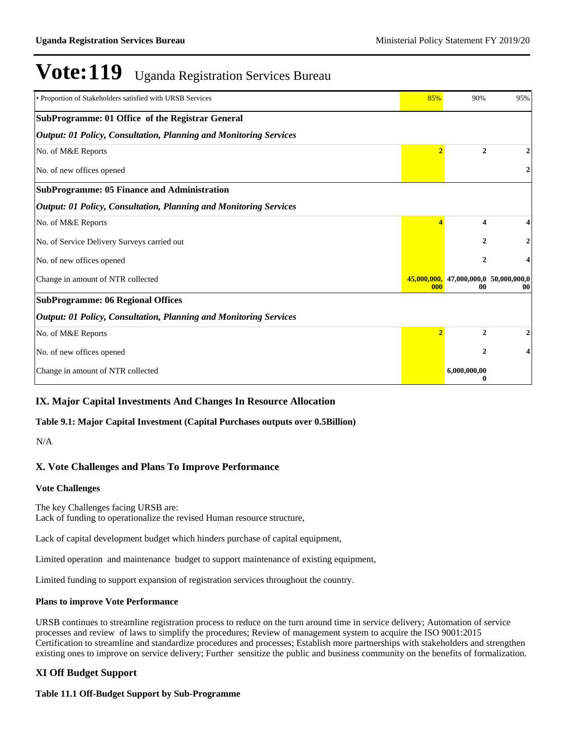| • Proportion of Stakeholders satisfied with URSB Services                | 85%            | 90%                                                           | 95% |
|--------------------------------------------------------------------------|----------------|---------------------------------------------------------------|-----|
| SubProgramme: 01 Office of the Registrar General                         |                |                                                               |     |
| <b>Output: 01 Policy, Consultation, Planning and Monitoring Services</b> |                |                                                               |     |
| No. of M&E Reports                                                       | $\overline{2}$ | $\mathbf{2}$                                                  |     |
| No. of new offices opened                                                |                |                                                               | 2   |
| <b>SubProgramme: 05 Finance and Administration</b>                       |                |                                                               |     |
| <b>Output: 01 Policy, Consultation, Planning and Monitoring Services</b> |                |                                                               |     |
| No. of M&E Reports                                                       |                | 4                                                             | 4   |
| No. of Service Delivery Surveys carried out                              |                | $\mathbf{2}$                                                  | 2   |
| No. of new offices opened                                                |                | 2                                                             | 4   |
| Change in amount of NTR collected                                        | 000            | $\overline{45,000,000}$ , 47,000,000,0 50,000,000,0<br>$00\,$ | 00  |
| <b>SubProgramme: 06 Regional Offices</b>                                 |                |                                                               |     |
| <b>Output: 01 Policy, Consultation, Planning and Monitoring Services</b> |                |                                                               |     |
| No. of M&E Reports                                                       | $\overline{2}$ | $\mathbf{2}$                                                  | 2   |
| No. of new offices opened                                                |                | $\mathbf{2}$                                                  | 4   |
| Change in amount of NTR collected                                        |                | 6,000,000,00<br>0                                             |     |

#### **IX. Major Capital Investments And Changes In Resource Allocation**

#### **Table 9.1: Major Capital Investment (Capital Purchases outputs over 0.5Billion)**

N/A

#### **X. Vote Challenges and Plans To Improve Performance**

#### **Vote Challenges**

The key Challenges facing URSB are: Lack of funding to operationalize the revised Human resource structure,

Lack of capital development budget which hinders purchase of capital equipment,

Limited operation and maintenance budget to support maintenance of existing equipment,

Limited funding to support expansion of registration services throughout the country.

#### **Plans to improve Vote Performance**

URSB continues to streamline registration process to reduce on the turn around time in service delivery; Automation of service processes and review of laws to simplify the procedures; Review of management system to acquire the ISO 9001:2015 Certification to streamline and standardize procedures and processes; Establish more partnerships with stakeholders and strengthen existing ones to improve on service delivery; Further sensitize the public and business community on the benefits of formalization.

#### **XI Off Budget Support**

#### **Table 11.1 Off-Budget Support by Sub-Programme**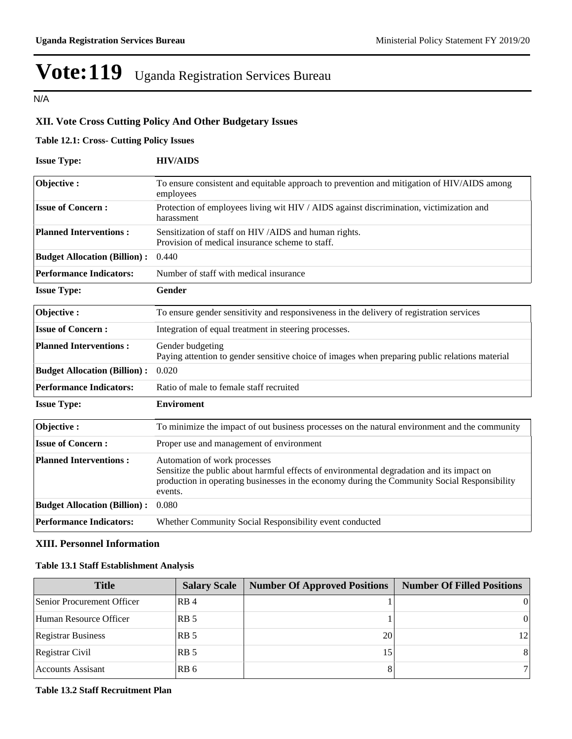N/A

#### **XII. Vote Cross Cutting Policy And Other Budgetary Issues**

#### **Table 12.1: Cross- Cutting Policy Issues**

| <b>Issue Type:</b>                  | <b>HIV/AIDS</b>                                                                                                                                                                                                                      |
|-------------------------------------|--------------------------------------------------------------------------------------------------------------------------------------------------------------------------------------------------------------------------------------|
| Objective:                          | To ensure consistent and equitable approach to prevention and mitigation of HIV/AIDS among<br>employees                                                                                                                              |
| <b>Issue of Concern:</b>            | Protection of employees living wit HIV / AIDS against discrimination, victimization and<br>harassment                                                                                                                                |
| <b>Planned Interventions:</b>       | Sensitization of staff on HIV /AIDS and human rights.<br>Provision of medical insurance scheme to staff.                                                                                                                             |
| <b>Budget Allocation (Billion):</b> | 0.440                                                                                                                                                                                                                                |
| <b>Performance Indicators:</b>      | Number of staff with medical insurance                                                                                                                                                                                               |
| <b>Issue Type:</b>                  | <b>Gender</b>                                                                                                                                                                                                                        |
| Objective:                          | To ensure gender sensitivity and responsiveness in the delivery of registration services                                                                                                                                             |
| <b>Issue of Concern:</b>            | Integration of equal treatment in steering processes.                                                                                                                                                                                |
| <b>Planned Interventions:</b>       | Gender budgeting<br>Paying attention to gender sensitive choice of images when preparing public relations material                                                                                                                   |
| <b>Budget Allocation (Billion):</b> | 0.020                                                                                                                                                                                                                                |
| <b>Performance Indicators:</b>      | Ratio of male to female staff recruited                                                                                                                                                                                              |
| <b>Issue Type:</b>                  | <b>Enviroment</b>                                                                                                                                                                                                                    |
| Objective:                          | To minimize the impact of out business processes on the natural environment and the community                                                                                                                                        |
| <b>Issue of Concern:</b>            | Proper use and management of environment                                                                                                                                                                                             |
| <b>Planned Interventions:</b>       | Automation of work processes<br>Sensitize the public about harmful effects of environmental degradation and its impact on<br>production in operating businesses in the economy during the Community Social Responsibility<br>events. |
| <b>Budget Allocation (Billion):</b> | 0.080                                                                                                                                                                                                                                |
| <b>Performance Indicators:</b>      | Whether Community Social Responsibility event conducted                                                                                                                                                                              |

#### **XIII. Personnel Information**

#### **Table 13.1 Staff Establishment Analysis**

| <b>Title</b>               | <b>Salary Scale</b> | <b>Number Of Approved Positions</b> | <b>Number Of Filled Positions</b> |
|----------------------------|---------------------|-------------------------------------|-----------------------------------|
| Senior Procurement Officer | RB <sub>4</sub>     |                                     |                                   |
| Human Resource Officer     | RB <sub>5</sub>     |                                     |                                   |
| <b>Registrar Business</b>  | RB <sub>5</sub>     | 20                                  | 121                               |
| Registrar Civil            | RB <sub>5</sub>     | 15                                  | 81                                |
| Accounts Assisant          | RB 6                |                                     |                                   |

#### **Table 13.2 Staff Recruitment Plan**